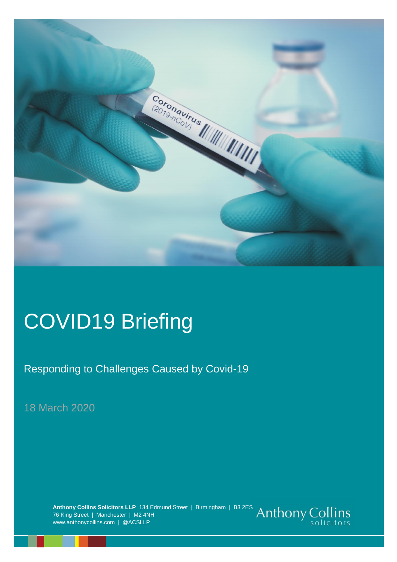

# COVID19 Briefing

Responding to Challenges Caused by Covid-19

18 March 2020

**Anthony Collins Solicitors LLP** 134 Edmund Street | Birmingham | B3 2ES 76 King Street | Manchester | M2 4NH www.anthonycollins.com | @ACSLLP

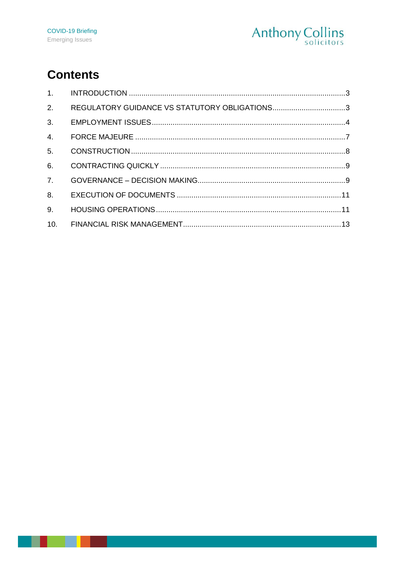

# **Contents**

| 1.             |                                               |  |
|----------------|-----------------------------------------------|--|
| 2.             | REGULATORY GUIDANCE VS STATUTORY OBLIGATIONS3 |  |
| 3.             |                                               |  |
| 4.             |                                               |  |
| 5.             |                                               |  |
| 6.             |                                               |  |
| 7 <sub>1</sub> |                                               |  |
| 8.             |                                               |  |
| 9.             |                                               |  |
| 10.            |                                               |  |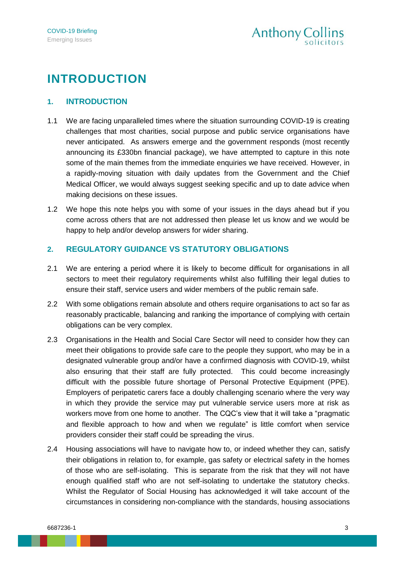# **INTRODUCTION**

#### <span id="page-2-0"></span>**1. INTRODUCTION**

- 1.1 We are facing unparalleled times where the situation surrounding COVID-19 is creating challenges that most charities, social purpose and public service organisations have never anticipated. As answers emerge and the government responds (most recently announcing its £330bn financial package), we have attempted to capture in this note some of the main themes from the immediate enquiries we have received. However, in a rapidly-moving situation with daily updates from the Government and the Chief Medical Officer, we would always suggest seeking specific and up to date advice when making decisions on these issues.
- 1.2 We hope this note helps you with some of your issues in the days ahead but if you come across others that are not addressed then please let us know and we would be happy to help and/or develop answers for wider sharing.

#### <span id="page-2-1"></span>**2. REGULATORY GUIDANCE VS STATUTORY OBLIGATIONS**

- 2.1 We are entering a period where it is likely to become difficult for organisations in all sectors to meet their regulatory requirements whilst also fulfilling their legal duties to ensure their staff, service users and wider members of the public remain safe.
- 2.2 With some obligations remain absolute and others require organisations to act so far as reasonably practicable, balancing and ranking the importance of complying with certain obligations can be very complex.
- 2.3 Organisations in the Health and Social Care Sector will need to consider how they can meet their obligations to provide safe care to the people they support, who may be in a designated vulnerable group and/or have a confirmed diagnosis with COVID-19, whilst also ensuring that their staff are fully protected. This could become increasingly difficult with the possible future shortage of Personal Protective Equipment (PPE). Employers of peripatetic carers face a doubly challenging scenario where the very way in which they provide the service may put vulnerable service users more at risk as workers move from one home to another. The CQC's view that it will take a "pragmatic and flexible approach to how and when we regulate" is little comfort when service providers consider their staff could be spreading the virus.
- 2.4 Housing associations will have to navigate how to, or indeed whether they can, satisfy their obligations in relation to, for example, gas safety or electrical safety in the homes of those who are self-isolating. This is separate from the risk that they will not have enough qualified staff who are not self-isolating to undertake the statutory checks. Whilst the Regulator of Social Housing has acknowledged it will take account of the circumstances in considering non-compliance with the standards, housing associations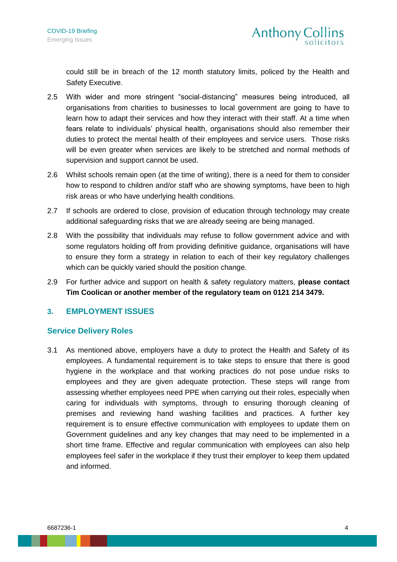could still be in breach of the 12 month statutory limits, policed by the Health and Safety Executive.

- 2.5 With wider and more stringent "social-distancing" measures being introduced, all organisations from charities to businesses to local government are going to have to learn how to adapt their services and how they interact with their staff. At a time when fears relate to individuals' physical health, organisations should also remember their duties to protect the mental health of their employees and service users. Those risks will be even greater when services are likely to be stretched and normal methods of supervision and support cannot be used.
- 2.6 Whilst schools remain open (at the time of writing), there is a need for them to consider how to respond to children and/or staff who are showing symptoms, have been to high risk areas or who have underlying health conditions.
- 2.7 If schools are ordered to close, provision of education through technology may create additional safeguarding risks that we are already seeing are being managed.
- 2.8 With the possibility that individuals may refuse to follow government advice and with some regulators holding off from providing definitive guidance, organisations will have to ensure they form a strategy in relation to each of their key regulatory challenges which can be quickly varied should the position change.
- 2.9 For further advice and support on health & safety regulatory matters, **please contact Tim Coolican or another member of the regulatory team on 0121 214 3479.**

#### <span id="page-3-0"></span>**3. EMPLOYMENT ISSUES**

#### **Service Delivery Roles**

3.1 As mentioned above, employers have a duty to protect the Health and Safety of its employees. A fundamental requirement is to take steps to ensure that there is good hygiene in the workplace and that working practices do not pose undue risks to employees and they are given adequate protection. These steps will range from assessing whether employees need PPE when carrying out their roles, especially when caring for individuals with symptoms, through to ensuring thorough cleaning of premises and reviewing hand washing facilities and practices. A further key requirement is to ensure effective communication with employees to update them on Government guidelines and any key changes that may need to be implemented in a short time frame. Effective and regular communication with employees can also help employees feel safer in the workplace if they trust their employer to keep them updated and informed.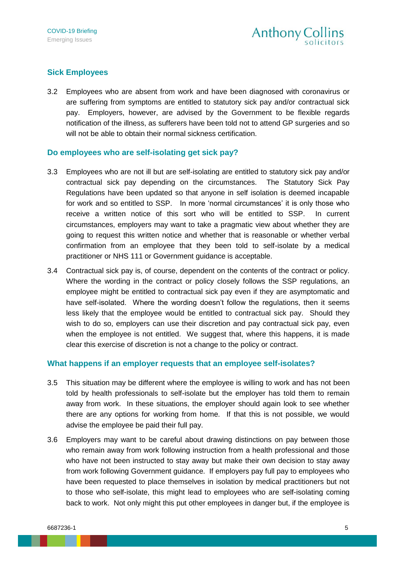## **Sick Employees**

3.2 Employees who are absent from work and have been diagnosed with coronavirus or are suffering from symptoms are entitled to statutory sick pay and/or contractual sick pay. Employers, however, are advised by the Government to be flexible regards notification of the illness, as sufferers have been told not to attend GP surgeries and so will not be able to obtain their normal sickness certification.

#### **Do employees who are self-isolating get sick pay?**

- 3.3 Employees who are not ill but are self-isolating are entitled to statutory sick pay and/or contractual sick pay depending on the circumstances. The Statutory Sick Pay Regulations have been updated so that anyone in self isolation is deemed incapable for work and so entitled to SSP. In more 'normal circumstances' it is only those who receive a written notice of this sort who will be entitled to SSP. In current circumstances, employers may want to take a pragmatic view about whether they are going to request this written notice and whether that is reasonable or whether verbal confirmation from an employee that they been told to self-isolate by a medical practitioner or NHS 111 or Government guidance is acceptable.
- 3.4 Contractual sick pay is, of course, dependent on the contents of the contract or policy. Where the wording in the contract or policy closely follows the SSP regulations, an employee might be entitled to contractual sick pay even if they are asymptomatic and have self-isolated. Where the wording doesn't follow the regulations, then it seems less likely that the employee would be entitled to contractual sick pay. Should they wish to do so, employers can use their discretion and pay contractual sick pay, even when the employee is not entitled. We suggest that, where this happens, it is made clear this exercise of discretion is not a change to the policy or contract.

#### **What happens if an employer requests that an employee self-isolates?**

- 3.5 This situation may be different where the employee is willing to work and has not been told by health professionals to self-isolate but the employer has told them to remain away from work. In these situations, the employer should again look to see whether there are any options for working from home. If that this is not possible, we would advise the employee be paid their full pay.
- 3.6 Employers may want to be careful about drawing distinctions on pay between those who remain away from work following instruction from a health professional and those who have not been instructed to stay away but make their own decision to stay away from work following Government guidance. If employers pay full pay to employees who have been requested to place themselves in isolation by medical practitioners but not to those who self-isolate, this might lead to employees who are self-isolating coming back to work. Not only might this put other employees in danger but, if the employee is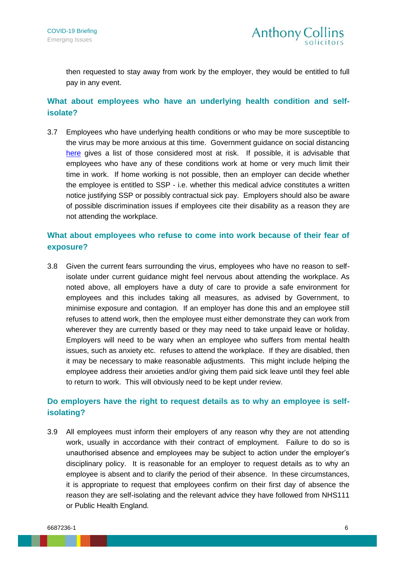then requested to stay away from work by the employer, they would be entitled to full pay in any event.

# **What about employees who have an underlying health condition and selfisolate?**

3.7 Employees who have underlying health conditions or who may be more susceptible to the virus may be more anxious at this time. Government guidance on social distancing [here](https://www.gov.uk/government/publications/covid-19-guidance-on-social-distancing-and-for-vulnerable-people/guidance-on-social-distancing-for-everyone-in-the-uk-and-protecting-older-people-and-vulnerable-adults) gives a list of those considered most at risk. If possible, it is advisable that employees who have any of these conditions work at home or very much limit their time in work. If home working is not possible, then an employer can decide whether the employee is entitled to SSP - i.e. whether this medical advice constitutes a written notice justifying SSP or possibly contractual sick pay. Employers should also be aware of possible discrimination issues if employees cite their disability as a reason they are not attending the workplace.

## **What about employees who refuse to come into work because of their fear of exposure?**

3.8 Given the current fears surrounding the virus, employees who have no reason to selfisolate under current guidance might feel nervous about attending the workplace. As noted above, all employers have a duty of care to provide a safe environment for employees and this includes taking all measures, as advised by Government, to minimise exposure and contagion. If an employer has done this and an employee still refuses to attend work, then the employee must either demonstrate they can work from wherever they are currently based or they may need to take unpaid leave or holiday. Employers will need to be wary when an employee who suffers from mental health issues, such as anxiety etc. refuses to attend the workplace. If they are disabled, then it may be necessary to make reasonable adjustments. This might include helping the employee address their anxieties and/or giving them paid sick leave until they feel able to return to work. This will obviously need to be kept under review.

# **Do employers have the right to request details as to why an employee is selfisolating?**

3.9 All employees must inform their employers of any reason why they are not attending work, usually in accordance with their contract of employment. Failure to do so is unauthorised absence and employees may be subject to action under the employer's disciplinary policy. It is reasonable for an employer to request details as to why an employee is absent and to clarify the period of their absence. In these circumstances, it is appropriate to request that employees confirm on their first day of absence the reason they are self-isolating and the relevant advice they have followed from NHS111 or Public Health England.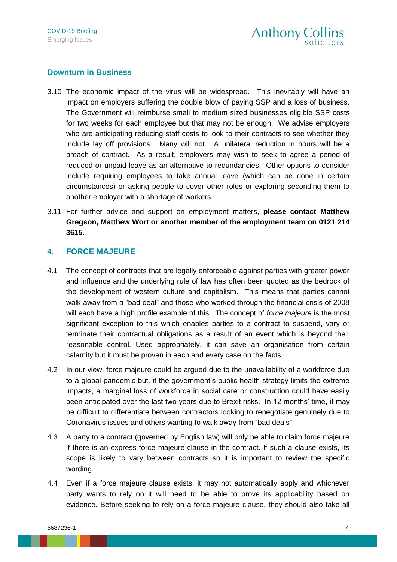#### **Downturn in Business**

- 3.10 The economic impact of the virus will be widespread. This inevitably will have an impact on employers suffering the double blow of paying SSP and a loss of business. The Government will reimburse small to medium sized businesses eligible SSP costs for two weeks for each employee but that may not be enough. We advise employers who are anticipating reducing staff costs to look to their contracts to see whether they include lay off provisions. Many will not. A unilateral reduction in hours will be a breach of contract. As a result, employers may wish to seek to agree a period of reduced or unpaid leave as an alternative to redundancies. Other options to consider include requiring employees to take annual leave (which can be done in certain circumstances) or asking people to cover other roles or exploring seconding them to another employer with a shortage of workers.
- 3.11 For further advice and support on employment matters, **please contact Matthew Gregson, Matthew Wort or another member of the employment team on 0121 214 3615.**

#### <span id="page-6-0"></span>**4. FORCE MAJEURE**

- 4.1 The concept of contracts that are legally enforceable against parties with greater power and influence and the underlying rule of law has often been quoted as the bedrock of the development of western culture and capitalism. This means that parties cannot walk away from a "bad deal" and those who worked through the financial crisis of 2008 will each have a high profile example of this. The concept of *force majeure* is the most significant exception to this which enables parties to a contract to suspend, vary or terminate their contractual obligations as a result of an event which is beyond their reasonable control. Used appropriately, it can save an organisation from certain calamity but it must be proven in each and every case on the facts.
- 4.2 In our view, force majeure could be argued due to the unavailability of a workforce due to a global pandemic but, if the government's public health strategy limits the extreme impacts, a marginal loss of workforce in social care or construction could have easily been anticipated over the last two years due to Brexit risks. In 12 months' time, it may be difficult to differentiate between contractors looking to renegotiate genuinely due to Coronavirus issues and others wanting to walk away from "bad deals".
- 4.3 A party to a contract (governed by English law) will only be able to claim force majeure if there is an express force majeure clause in the contract. If such a clause exists, its scope is likely to vary between contracts so it is important to review the specific wording.
- 4.4 Even if a force majeure clause exists, it may not automatically apply and whichever party wants to rely on it will need to be able to prove its applicability based on evidence. Before seeking to rely on a force majeure clause, they should also take all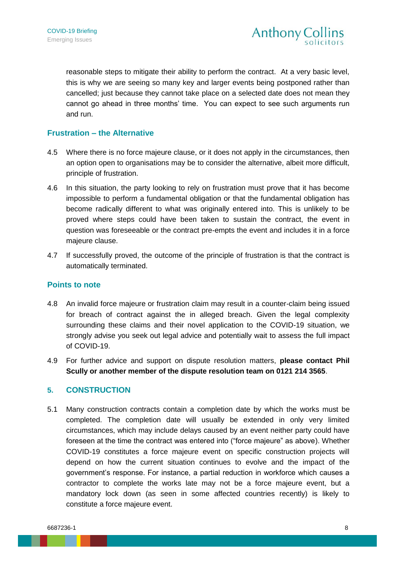reasonable steps to mitigate their ability to perform the contract. At a very basic level, this is why we are seeing so many key and larger events being postponed rather than cancelled; just because they cannot take place on a selected date does not mean they cannot go ahead in three months' time. You can expect to see such arguments run and run.

#### **Frustration – the Alternative**

- 4.5 Where there is no force majeure clause, or it does not apply in the circumstances, then an option open to organisations may be to consider the alternative, albeit more difficult, principle of frustration.
- 4.6 In this situation, the party looking to rely on frustration must prove that it has become impossible to perform a fundamental obligation or that the fundamental obligation has become radically different to what was originally entered into. This is unlikely to be proved where steps could have been taken to sustain the contract, the event in question was foreseeable or the contract pre-empts the event and includes it in a force majeure clause.
- 4.7 If successfully proved, the outcome of the principle of frustration is that the contract is automatically terminated.

#### **Points to note**

- 4.8 An invalid force majeure or frustration claim may result in a counter-claim being issued for breach of contract against the in alleged breach. Given the legal complexity surrounding these claims and their novel application to the COVID-19 situation, we strongly advise you seek out legal advice and potentially wait to assess the full impact of COVID-19.
- 4.9 For further advice and support on dispute resolution matters, **please contact Phil Scully or another member of the dispute resolution team on 0121 214 3565**.

#### <span id="page-7-0"></span>**5. CONSTRUCTION**

5.1 Many construction contracts contain a completion date by which the works must be completed. The completion date will usually be extended in only very limited circumstances, which may include delays caused by an event neither party could have foreseen at the time the contract was entered into ("force majeure" as above). Whether COVID-19 constitutes a force majeure event on specific construction projects will depend on how the current situation continues to evolve and the impact of the government's response. For instance, a partial reduction in workforce which causes a contractor to complete the works late may not be a force majeure event, but a mandatory lock down (as seen in some affected countries recently) is likely to constitute a force majeure event.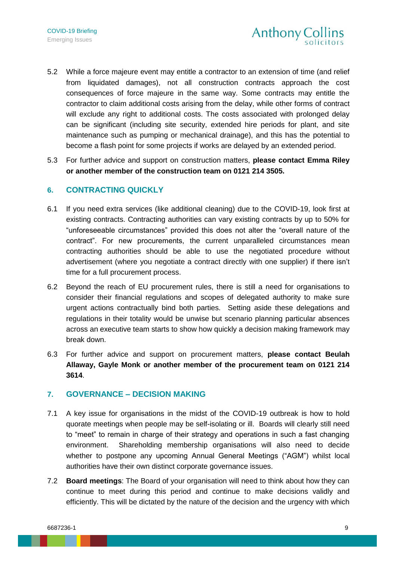- 5.2 While a force majeure event may entitle a contractor to an extension of time (and relief from liquidated damages), not all construction contracts approach the cost consequences of force majeure in the same way. Some contracts may entitle the contractor to claim additional costs arising from the delay, while other forms of contract will exclude any right to additional costs. The costs associated with prolonged delay can be significant (including site security, extended hire periods for plant, and site maintenance such as pumping or mechanical drainage), and this has the potential to become a flash point for some projects if works are delayed by an extended period.
- 5.3 For further advice and support on construction matters, **please contact Emma Riley or another member of the construction team on 0121 214 3505.**

#### <span id="page-8-0"></span>**6. CONTRACTING QUICKLY**

- 6.1 If you need extra services (like additional cleaning) due to the COVID-19, look first at existing contracts. Contracting authorities can vary existing contracts by up to 50% for "unforeseeable circumstances" provided this does not alter the "overall nature of the contract". For new procurements, the current unparalleled circumstances mean contracting authorities should be able to use the negotiated procedure without advertisement (where you negotiate a contract directly with one supplier) if there isn't time for a full procurement process.
- 6.2 Beyond the reach of EU procurement rules, there is still a need for organisations to consider their financial regulations and scopes of delegated authority to make sure urgent actions contractually bind both parties. Setting aside these delegations and regulations in their totality would be unwise but scenario planning particular absences across an executive team starts to show how quickly a decision making framework may break down.
- 6.3 For further advice and support on procurement matters, **please contact Beulah Allaway, Gayle Monk or another member of the procurement team on 0121 214 3614**.

#### <span id="page-8-1"></span>**7. GOVERNANCE – DECISION MAKING**

- 7.1 A key issue for organisations in the midst of the COVID-19 outbreak is how to hold quorate meetings when people may be self-isolating or ill. Boards will clearly still need to "meet" to remain in charge of their strategy and operations in such a fast changing environment. Shareholding membership organisations will also need to decide whether to postpone any upcoming Annual General Meetings ("AGM") whilst local authorities have their own distinct corporate governance issues.
- 7.2 **Board meetings**: The Board of your organisation will need to think about how they can continue to meet during this period and continue to make decisions validly and efficiently. This will be dictated by the nature of the decision and the urgency with which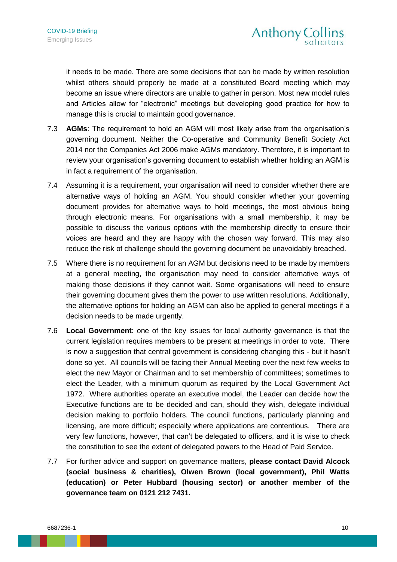<span id="page-9-0"></span>it needs to be made. There are some decisions that can be made by written resolution whilst others should properly be made at a constituted Board meeting which may become an issue where directors are unable to gather in person. Most new model rules and Articles allow for "electronic" meetings but developing good practice for how to manage this is crucial to maintain good governance.

- 7.3 **AGMs**: The requirement to hold an AGM will most likely arise from the organisation's governing document. Neither the Co-operative and Community Benefit Society Act 2014 nor the Companies Act 2006 make AGMs mandatory. Therefore, it is important to review your organisation's governing document to establish whether holding an AGM is in fact a requirement of the organisation.
- 7.4 Assuming it is a requirement, your organisation will need to consider whether there are alternative ways of holding an AGM. You should consider whether your governing document provides for alternative ways to hold meetings, the most obvious being through electronic means. For organisations with a small membership, it may be possible to discuss the various options with the membership directly to ensure their voices are heard and they are happy with the chosen way forward. This may also reduce the risk of challenge should the governing document be unavoidably breached.
- 7.5 Where there is no requirement for an AGM but decisions need to be made by members at a general meeting, the organisation may need to consider alternative ways of making those decisions if they cannot wait. Some organisations will need to ensure their governing document gives them the power to use written resolutions. Additionally, the alternative options for holding an AGM can also be applied to general meetings if a decision needs to be made urgently.
- 7.6 **Local Government**: one of the key issues for local authority governance is that the current legislation requires members to be present at meetings in order to vote. There is now a suggestion that central government is considering changing this - but it hasn't done so yet. All councils will be facing their Annual Meeting over the next few weeks to elect the new Mayor or Chairman and to set membership of committees; sometimes to elect the Leader, with a minimum quorum as required by the Local Government Act 1972. Where authorities operate an executive model, the Leader can decide how the Executive functions are to be decided and can, should they wish, delegate individual decision making to portfolio holders. The council functions, particularly planning and licensing, are more difficult; especially where applications are contentious. There are very few functions, however, that can't be delegated to officers, and it is wise to check the constitution to see the extent of delegated powers to the Head of Paid Service.
- 7.7 For further advice and support on governance matters, **please contact David Alcock (social business & charities), Olwen Brown (local government), Phil Watts (education) or Peter Hubbard (housing sector) or another member of the governance team on 0121 212 7431.**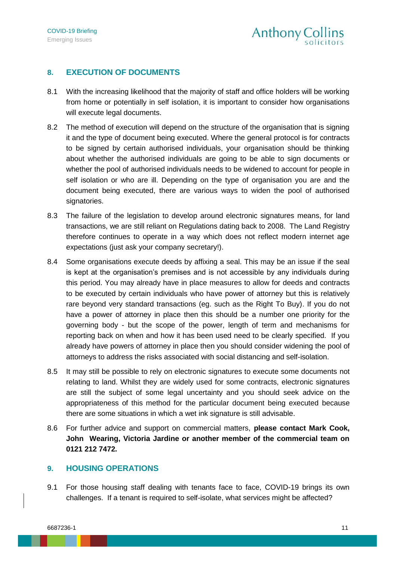# **8. EXECUTION OF DOCUMENTS**

- 8.1 With the increasing likelihood that the majority of staff and office holders will be working from home or potentially in self isolation, it is important to consider how organisations will execute legal documents.
- 8.2 The method of execution will depend on the structure of the organisation that is signing it and the type of document being executed. Where the general protocol is for contracts to be signed by certain authorised individuals, your organisation should be thinking about whether the authorised individuals are going to be able to sign documents or whether the pool of authorised individuals needs to be widened to account for people in self isolation or who are ill. Depending on the type of organisation you are and the document being executed, there are various ways to widen the pool of authorised signatories.
- 8.3 The failure of the legislation to develop around electronic signatures means, for land transactions, we are still reliant on Regulations dating back to 2008. The Land Registry therefore continues to operate in a way which does not reflect modern internet age expectations (just ask your company secretary!).
- 8.4 Some organisations execute deeds by affixing a seal. This may be an issue if the seal is kept at the organisation's premises and is not accessible by any individuals during this period. You may already have in place measures to allow for deeds and contracts to be executed by certain individuals who have power of attorney but this is relatively rare beyond very standard transactions (eg. such as the Right To Buy). If you do not have a power of attorney in place then this should be a number one priority for the governing body - but the scope of the power, length of term and mechanisms for reporting back on when and how it has been used need to be clearly specified. If you already have powers of attorney in place then you should consider widening the pool of attorneys to address the risks associated with social distancing and self-isolation.
- 8.5 It may still be possible to rely on electronic signatures to execute some documents not relating to land. Whilst they are widely used for some contracts, electronic signatures are still the subject of some legal uncertainty and you should seek advice on the appropriateness of this method for the particular document being executed because there are some situations in which a wet ink signature is still advisable.
- 8.6 For further advice and support on commercial matters, **please contact Mark Cook, John Wearing, Victoria Jardine or another member of the commercial team on 0121 212 7472.**

#### <span id="page-10-0"></span>**9. HOUSING OPERATIONS**

9.1 For those housing staff dealing with tenants face to face, COVID-19 brings its own challenges. If a tenant is required to self-isolate, what services might be affected?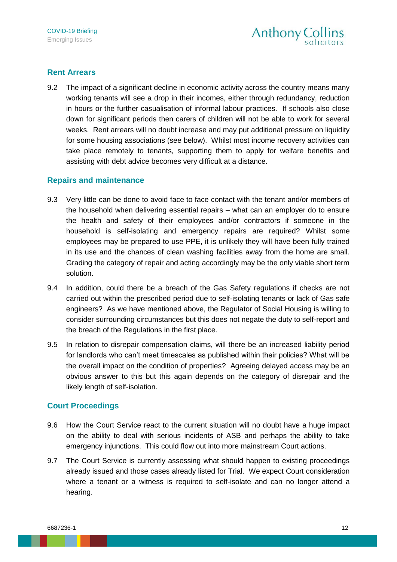#### **Rent Arrears**

9.2 The impact of a significant decline in economic activity across the country means many working tenants will see a drop in their incomes, either through redundancy, reduction in hours or the further casualisation of informal labour practices. If schools also close down for significant periods then carers of children will not be able to work for several weeks. Rent arrears will no doubt increase and may put additional pressure on liquidity for some housing associations (see below). Whilst most income recovery activities can take place remotely to tenants, supporting them to apply for welfare benefits and assisting with debt advice becomes very difficult at a distance.

#### **Repairs and maintenance**

- 9.3 Very little can be done to avoid face to face contact with the tenant and/or members of the household when delivering essential repairs – what can an employer do to ensure the health and safety of their employees and/or contractors if someone in the household is self-isolating and emergency repairs are required? Whilst some employees may be prepared to use PPE, it is unlikely they will have been fully trained in its use and the chances of clean washing facilities away from the home are small. Grading the category of repair and acting accordingly may be the only viable short term solution.
- 9.4 In addition, could there be a breach of the Gas Safety regulations if checks are not carried out within the prescribed period due to self-isolating tenants or lack of Gas safe engineers? As we have mentioned above, the Regulator of Social Housing is willing to consider surrounding circumstances but this does not negate the duty to self-report and the breach of the Regulations in the first place.
- 9.5 In relation to disrepair compensation claims, will there be an increased liability period for landlords who can't meet timescales as published within their policies? What will be the overall impact on the condition of properties? Agreeing delayed access may be an obvious answer to this but this again depends on the category of disrepair and the likely length of self-isolation.

#### **Court Proceedings**

- 9.6 How the Court Service react to the current situation will no doubt have a huge impact on the ability to deal with serious incidents of ASB and perhaps the ability to take emergency injunctions. This could flow out into more mainstream Court actions.
- 9.7 The Court Service is currently assessing what should happen to existing proceedings already issued and those cases already listed for Trial. We expect Court consideration where a tenant or a witness is required to self-isolate and can no longer attend a hearing.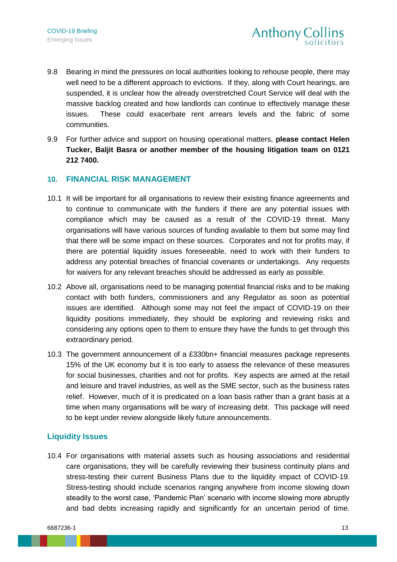- 9.8 Bearing in mind the pressures on local authorities looking to rehouse people, there may well need to be a different approach to evictions. If they, along with Court hearings, are suspended, it is unclear how the already overstretched Court Service will deal with the massive backlog created and how landlords can continue to effectively manage these issues. These could exacerbate rent arrears levels and the fabric of some communities.
- 9.9 For further advice and support on housing operational matters, **please contact Helen Tucker, Baljit Basra or another member of the housing litigation team on 0121 212 7400.**

#### <span id="page-12-0"></span>**10. FINANCIAL RISK MANAGEMENT**

- 10.1 It will be important for all organisations to review their existing finance agreements and to continue to communicate with the funders if there are any potential issues with compliance which may be caused as a result of the COVID-19 threat. Many organisations will have various sources of funding available to them but some may find that there will be some impact on these sources. Corporates and not for profits may, if there are potential liquidity issues foreseeable, need to work with their funders to address any potential breaches of financial covenants or undertakings. Any requests for waivers for any relevant breaches should be addressed as early as possible.
- 10.2 Above all, organisations need to be managing potential financial risks and to be making contact with both funders, commissioners and any Regulator as soon as potential issues are identified. Although some may not feel the impact of COVID-19 on their liquidity positions immediately, they should be exploring and reviewing risks and considering any options open to them to ensure they have the funds to get through this extraordinary period.
- 10.3 The government announcement of a £330bn+ financial measures package represents 15% of the UK economy but it is too early to assess the relevance of these measures for social businesses, charities and not for profits. Key aspects are aimed at the retail and leisure and travel industries, as well as the SME sector, such as the business rates relief. However, much of it is predicated on a loan basis rather than a grant basis at a time when many organisations will be wary of increasing debt. This package will need to be kept under review alongside likely future announcements.

#### **Liquidity Issues**

10.4 For organisations with material assets such as housing associations and residential care organisations, they will be carefully reviewing their business continuity plans and stress-testing their current Business Plans due to the liquidity impact of COVID-19. Stress-testing should include scenarios ranging anywhere from income slowing down steadily to the worst case, 'Pandemic Plan' scenario with income slowing more abruptly and bad debts increasing rapidly and significantly for an uncertain period of time.